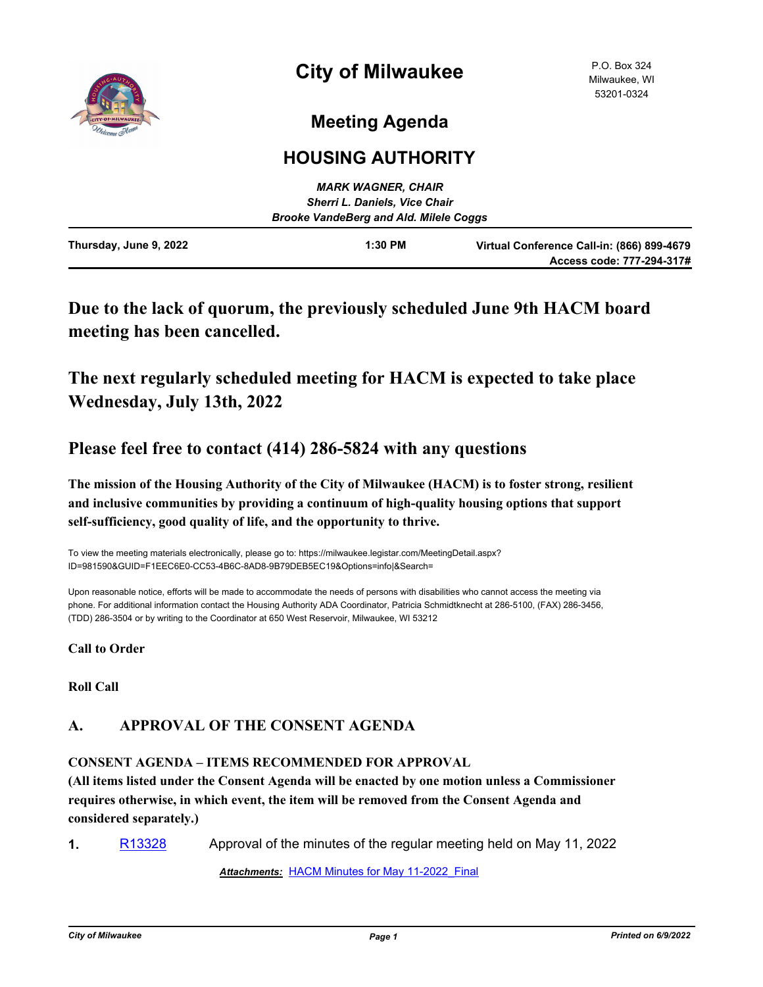

# **Meeting Agenda**

## **HOUSING AUTHORITY**

|                                               | <b>MARK WAGNER, CHAIR</b>            |                                                                         |
|-----------------------------------------------|--------------------------------------|-------------------------------------------------------------------------|
|                                               | <b>Sherri L. Daniels, Vice Chair</b> |                                                                         |
| <b>Brooke VandeBerg and Ald. Milele Coggs</b> |                                      |                                                                         |
| Thursday, June 9, 2022                        | $1:30$ PM                            | Virtual Conference Call-in: (866) 899-4679<br>Access code: 777-294-317# |

## **Due to the lack of quorum, the previously scheduled June 9th HACM board meeting has been cancelled.**

## **The next regularly scheduled meeting for HACM is expected to take place Wednesday, July 13th, 2022**

### **Please feel free to contact (414) 286-5824 with any questions**

**The mission of the Housing Authority of the City of Milwaukee (HACM) is to foster strong, resilient and inclusive communities by providing a continuum of high-quality housing options that support self-sufficiency, good quality of life, and the opportunity to thrive.**

To view the meeting materials electronically, please go to: https://milwaukee.legistar.com/MeetingDetail.aspx? ID=981590&GUID=F1EEC6E0-CC53-4B6C-8AD8-9B79DEB5EC19&Options=info|&Search=

Upon reasonable notice, efforts will be made to accommodate the needs of persons with disabilities who cannot access the meeting via phone. For additional information contact the Housing Authority ADA Coordinator, Patricia Schmidtknecht at 286-5100, (FAX) 286-3456, (TDD) 286-3504 or by writing to the Coordinator at 650 West Reservoir, Milwaukee, WI 53212

**Call to Order**

**Roll Call**

### **A. APPROVAL OF THE CONSENT AGENDA**

#### **CONSENT AGENDA – ITEMS RECOMMENDED FOR APPROVAL**

**(All items listed under the Consent Agenda will be enacted by one motion unless a Commissioner requires otherwise, in which event, the item will be removed from the Consent Agenda and considered separately.)**

**1.** [R13328](http://milwaukee.legistar.com/gateway.aspx?m=l&id=/matter.aspx?key=62356) Approval of the minutes of the regular meeting held on May 11, 2022

*Attachments:* [HACM Minutes for May 11-2022\\_Final](http://Milwaukee.legistar.com/gateway.aspx?M=F&ID=bd26cc17-a7df-4169-92b8-16bcf56cb046.pdf)